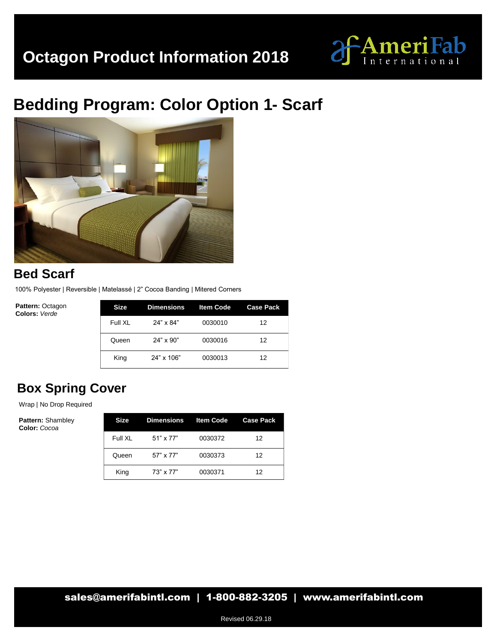

# **Bedding Program: Color Option 1- Scarf**



### **Bed Scarf**

100% Polyester | Reversible | Matelassé | 2" Cocoa Banding | Mitered Corners

**Pattern:** Octagon **Colors:** *Verde*

| Size    | <b>Dimensions</b> | <b>Item Code</b> | <b>Case Pack</b> |
|---------|-------------------|------------------|------------------|
| Full XL | 24" x 84"         | 0030010          | 12               |
| Queen   | $24" \times 90"$  | 0030016          | 12               |
| King    | 24" x 106"        | 0030013          | 12               |

## **Box Spring Cover**

Wrap | No Drop Required

| <b>Size</b> | <b>Dimensions</b> | <b>Item Code</b> | <b>Case Pack</b> |
|-------------|-------------------|------------------|------------------|
| Full XL     | 51" x 77"         | 0030372          | 12               |
| Queen       | 57" x 77"         | 0030373          | 12               |
| King        | 73" x 77"         | 0030371          | 12               |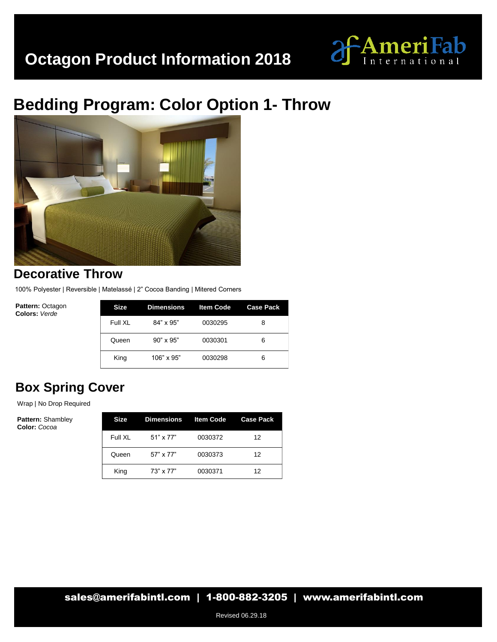

# **Bedding Program: Color Option 1- Throw**



#### **Decorative Throw**

100% Polyester | Reversible | Matelassé | 2" Cocoa Banding | Mitered Corners

**Pattern:** Octagon **Colors:** *Verde*

| <b>Size</b> | <b>Dimensions</b> | <b>Item Code</b> | <b>Case Pack</b> |
|-------------|-------------------|------------------|------------------|
| Full XL     | $84" \times 95"$  | 0030295          | 8                |
| Queen       | $90" \times 95"$  | 0030301          | 6                |
| King        | $106" \times 95"$ | 0030298          | 6                |

### **Box Spring Cover**

Wrap | No Drop Required

| Size    | <b>Dimensions</b> | <b>Item Code</b> | <b>Case Pack</b> |
|---------|-------------------|------------------|------------------|
| Full XL | 51" x 77"         | 0030372          | 12               |
| Queen   | 57" x 77"         | 0030373          | 12               |
| King    | 73" x 77"         | 0030371          | 12               |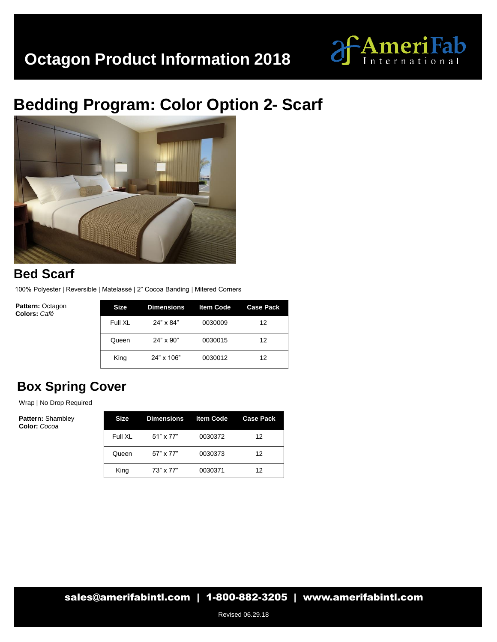

# **Bedding Program: Color Option 2- Scarf**



### **Bed Scarf**

100% Polyester | Reversible | Matelassé | 2" Cocoa Banding | Mitered Corners

**Pattern:** Octagon **Colors:** *Café*

| Size    | Dimensions       | <b>Item Code</b> | <b>Case Pack</b> |
|---------|------------------|------------------|------------------|
| Full XL | 24" x 84"        | 0030009          | 12               |
| Queen   | $24" \times 90"$ | 0030015          | 12               |
| King    | 24" x 106"       | 0030012          | 12               |

## **Box Spring Cover**

Wrap | No Drop Required

| Size    | Dimensions Item Code |         | <b>Case Pack</b> |
|---------|----------------------|---------|------------------|
| Full XL | $51" \times 77"$     | 0030372 | 12               |
| Queen   | 57" x 77"            | 0030373 | 12               |
| King    | $73" \times 77"$     | 0030371 | 12               |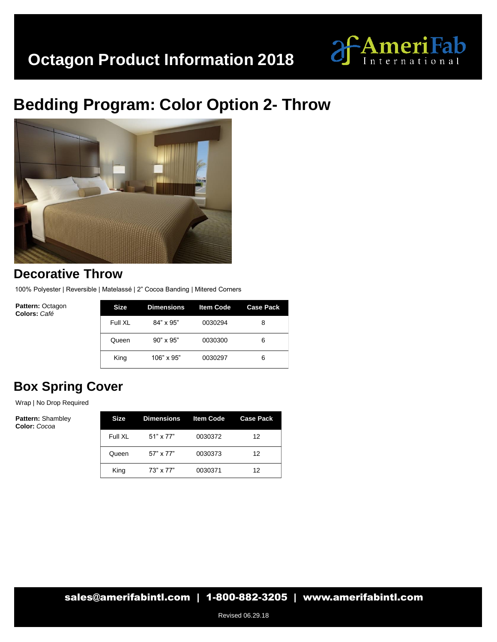

# **Bedding Program: Color Option 2- Throw**



#### **Decorative Throw**

100% Polyester | Reversible | Matelassé | 2" Cocoa Banding | Mitered Corners

**Pattern:** Octagon **Colors:** *Café*

| Size    | <b>Dimensions</b> | <b>Item Code</b> | <b>Case Pack</b> |
|---------|-------------------|------------------|------------------|
| Full XL | $84" \times 95"$  | 0030294          | 8                |
| Queen   | $90" \times 95"$  | 0030300          | 6                |
| King    | $106" \times 95"$ | 0030297          | 6                |

## **Box Spring Cover**

Wrap | No Drop Required

| <b>Size</b> | <b>Dimensions</b> | <b>Item Code</b> | <b>Case Pack</b> |
|-------------|-------------------|------------------|------------------|
| Full XI     | 51" x 77"         | 0030372          | 12               |
| Queen       | 57" x 77"         | 0030373          | 12               |
| King        | 73" x 77"         | 0030371          | 12               |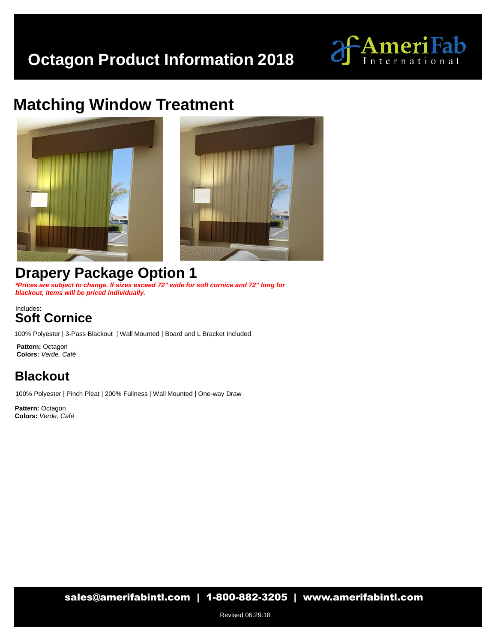

## **Matching Window Treatment**





## **Drapery Package Option 1**

*\*Prices are subject to change. If sizes exceed 72" wide for soft cornice and 72" long for blackout, items will be priced individually.*

#### Includes: **Soft Cornice**

100% Polyester | 3-Pass Blackout | Wall Mounted | Board and L Bracket Included

**Pattern:** Octagon **Colors:** *Verde, Café*

### **Blackout**

100% Polyester | Pinch Pleat | 200% Fullness | Wall Mounted | One-way Draw

**Pattern:** Octagon **Colors:** *Verde, Café*